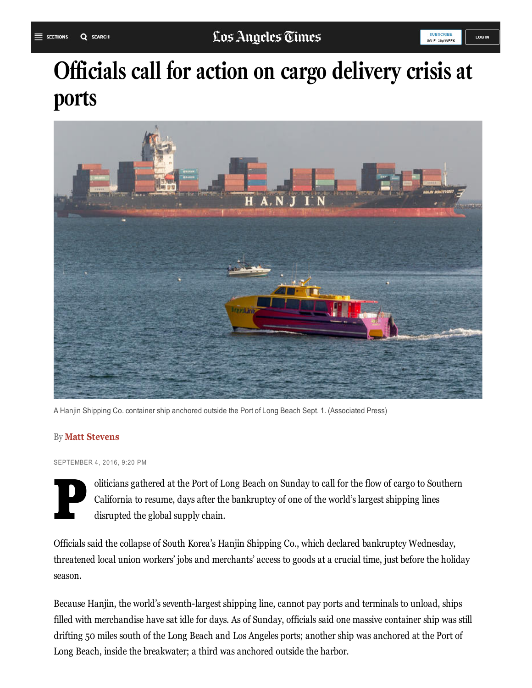# Officials call for action on cargo delivery crisis at ports



A Hanjin Shipping Co. container ship anchored outside the Port of Long Beach Sept. 1. (Associated Press)

#### By Matt Stevens

SEPTEMBER 4, 2016, 9:20 PM

P oliticians gathered at the Port of Long Beach on Sunday to call for the flow of cargo to Southern California to resume, days after the bankruptcy of one of the world's largest shipping lines disrupted the global supply chain.

Officials said the collapse of South Korea's Hanjin Shipping Co., which declared bankruptcy Wednesday, threatened local union workers' jobs and merchants' access to goods at a crucial time, just before the holiday season.

Because Hanjin, the world's seventh-largest shipping line, cannot pay ports and terminals to unload, ships filled with merchandise have sat idle for days. As of Sunday, officials said one massive container ship was still drifting 50 miles south of the Long Beach and Los Angeles ports; another ship was anchored at the Port of Long Beach, inside the breakwater; a third was anchored outside the harbor.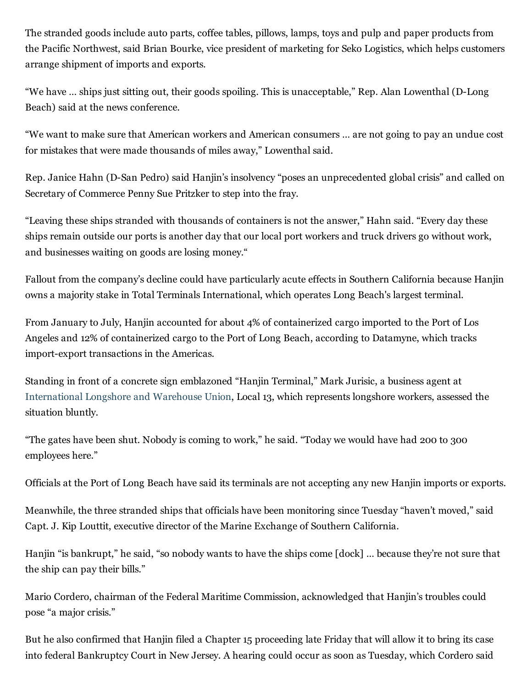The stranded goods include auto parts, coffee tables, pillows, lamps, toys and pulp and paper products from the Pacific Northwest, said Brian Bourke, vice president of marketing for Seko Logistics, which helps customers arrange shipment of imports and exports.

"We have ... ships just sitting out, their goods spoiling. This is unacceptable," Rep. Alan Lowenthal (D-Long Beach) said at the news conference.

"We want to make sure that American workers and American consumers … are not going to pay an undue cost for mistakes that were made thousands of miles away," Lowenthal said.

Rep. Janice Hahn (D-San Pedro) said Hanjin's insolvency "poses an unprecedented global crisis" and called on Secretary of Commerce Penny Sue Pritzker to step into the fray.

"Leaving these ships stranded with thousands of containers is not the answer," Hahn said. "Every day these ships remain outside our ports is another day that our local port workers and truck drivers go without work, and businesses waiting on goods are losing money."

Fallout from the company's decline could have particularly acute effects in Southern California because Hanjin owns a majority stake in Total Terminals International, which operates Long Beach's largest terminal.

From January to July, Hanjin accounted for about 4% of containerized cargo imported to the Port of Los Angeles and 12% of containerized cargo to the Port of Long Beach, according to Datamyne, which tracks import-export transactions in the Americas.

Standing in front of a concrete sign emblazoned "Hanjin Terminal," Mark Jurisic, a business agent at [International](http://www.latimes.com/topic/jobs-workplace/unions/international-longshore-warehouse-union-ORCIG00096-topic.html) Longshore and Warehouse Union, Local 13, which represents longshore workers, assessed the situation bluntly.

"The gates have been shut. Nobody is coming to work," he said. "Today we would have had 200 to 300 employees here."

Officials at the Port of Long Beach have said its terminals are not accepting any new Hanjin imports or exports.

Meanwhile, the three stranded ships that officials have been monitoring since Tuesday "haven't moved," said Capt. J. Kip Louttit, executive director of the Marine Exchange of Southern California.

Hanjin "is bankrupt," he said, "so nobody wants to have the ships come [dock] … because they're not sure that the ship can pay their bills."

Mario Cordero, chairman of the Federal Maritime Commission, acknowledged that Hanjin's troubles could pose "a major crisis."

But he also confirmed that Hanjin filed a Chapter 15 proceeding late Friday that will allow it to bring its case into federal Bankruptcy Court in New Jersey. A hearing could occur as soon as Tuesday, which Cordero said